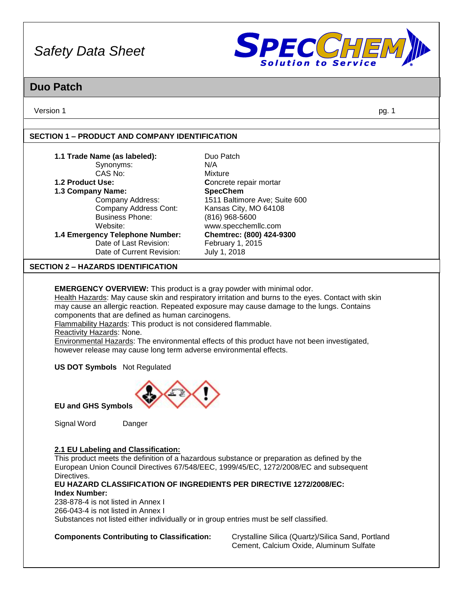

### **Duo Patch**

Version 1 pg. 1

#### **SECTION 1 – PRODUCT AND COMPANY IDENTIFICATION**

| 1.1 Trade Name (as labeled):                                                | Duo Patch                                                                                          |
|-----------------------------------------------------------------------------|----------------------------------------------------------------------------------------------------|
| Synonyms:                                                                   | N/A                                                                                                |
| CAS No:                                                                     | Mixture                                                                                            |
| 1.2 Product Use:                                                            | Concrete repair mortar                                                                             |
| 1.3 Company Name:                                                           | <b>SpecChem</b>                                                                                    |
| Company Address:                                                            | 1511 Baltimore Ave; Suite 600                                                                      |
| Company Address Cont:                                                       | Kansas City, MO 64108                                                                              |
| <b>Business Phone:</b>                                                      | (816) 968-5600                                                                                     |
| Website:                                                                    | www.specchemllc.com                                                                                |
| 1.4 Emergency Telephone Number:                                             | Chemtrec: (800) 424-9300                                                                           |
| Date of Last Revision:                                                      | February 1, 2015                                                                                   |
| Date of Current Revision:                                                   | July 1, 2018                                                                                       |
| <b>SECTION 2 - HAZARDS IDENTIFICATION</b>                                   |                                                                                                    |
|                                                                             |                                                                                                    |
| <b>EMERGENCY OVERVIEW:</b> This product is a gray powder with minimal odor. |                                                                                                    |
|                                                                             | Health Hazards: May cause skin and respiratory irritation and burns to the eyes. Contact with skin |

may cause an allergic reaction. Repeated exposure may cause damage to the lungs. Contains components that are defined as human carcinogens.

Flammability Hazards: This product is not considered flammable.

Reactivity Hazards: None.

Environmental Hazards: The environmental effects of this product have not been investigated, however release may cause long term adverse environmental effects.

**US DOT Symbols** Not Regulated



**EU and GHS Symbols**

Signal Word Danger

#### **2.1 EU Labeling and Classification:**

This product meets the definition of a hazardous substance or preparation as defined by the European Union Council Directives 67/548/EEC, 1999/45/EC, 1272/2008/EC and subsequent Directives.

#### **EU HAZARD CLASSIFICATION OF INGREDIENTS PER DIRECTIVE 1272/2008/EC: Index Number:**

238-878-4 is not listed in Annex I 266-043-4 is not listed in Annex I Substances not listed either individually or in group entries must be self classified.

**Components Contributing to Classification:** Crystalline Silica (Quartz)/Silica Sand, Portland Cement, Calcium Oxide, Aluminum Sulfate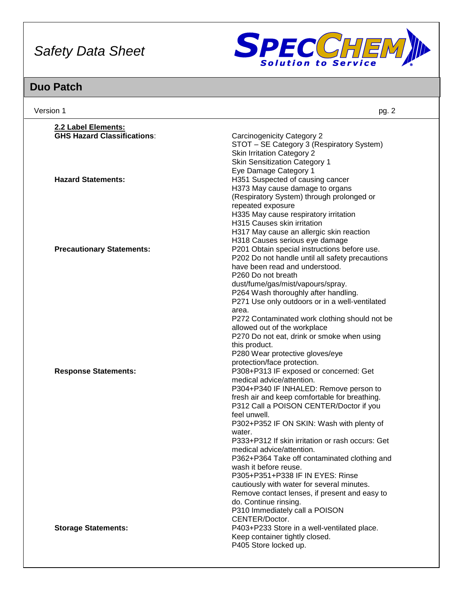

| Version 1                                                       | pg. 2                                                                                                                                                                                                                                                                                                                                                                                                                                                                                                                                                                                                                                                      |
|-----------------------------------------------------------------|------------------------------------------------------------------------------------------------------------------------------------------------------------------------------------------------------------------------------------------------------------------------------------------------------------------------------------------------------------------------------------------------------------------------------------------------------------------------------------------------------------------------------------------------------------------------------------------------------------------------------------------------------------|
| 2.2 Label Elements:                                             |                                                                                                                                                                                                                                                                                                                                                                                                                                                                                                                                                                                                                                                            |
| <b>GHS Hazard Classifications:</b><br><b>Hazard Statements:</b> | Carcinogenicity Category 2<br>STOT - SE Category 3 (Respiratory System)<br><b>Skin Irritation Category 2</b><br><b>Skin Sensitization Category 1</b><br>Eye Damage Category 1<br>H351 Suspected of causing cancer                                                                                                                                                                                                                                                                                                                                                                                                                                          |
|                                                                 | H373 May cause damage to organs<br>(Respiratory System) through prolonged or<br>repeated exposure<br>H335 May cause respiratory irritation<br>H315 Causes skin irritation<br>H317 May cause an allergic skin reaction<br>H318 Causes serious eye damage                                                                                                                                                                                                                                                                                                                                                                                                    |
| <b>Precautionary Statements:</b>                                | P201 Obtain special instructions before use.<br>P202 Do not handle until all safety precautions<br>have been read and understood.<br>P260 Do not breath<br>dust/fume/gas/mist/vapours/spray.<br>P264 Wash thoroughly after handling.<br>P271 Use only outdoors or in a well-ventilated<br>area.<br>P272 Contaminated work clothing should not be<br>allowed out of the workplace<br>P270 Do not eat, drink or smoke when using<br>this product.<br>P280 Wear protective gloves/eye<br>protection/face protection.                                                                                                                                          |
| <b>Response Statements:</b>                                     | P308+P313 IF exposed or concerned: Get<br>medical advice/attention.<br>P304+P340 IF INHALED: Remove person to<br>fresh air and keep comfortable for breathing.<br>P312 Call a POISON CENTER/Doctor if you<br>feel unwell.<br>P302+P352 IF ON SKIN: Wash with plenty of<br>water.<br>P333+P312 If skin irritation or rash occurs: Get<br>medical advice/attention.<br>P362+P364 Take off contaminated clothing and<br>wash it before reuse.<br>P305+P351+P338 IF IN EYES: Rinse<br>cautiously with water for several minutes.<br>Remove contact lenses, if present and easy to<br>do. Continue rinsing.<br>P310 Immediately call a POISON<br>CENTER/Doctor. |
| <b>Storage Statements:</b>                                      | P403+P233 Store in a well-ventilated place.<br>Keep container tightly closed.<br>P405 Store locked up.                                                                                                                                                                                                                                                                                                                                                                                                                                                                                                                                                     |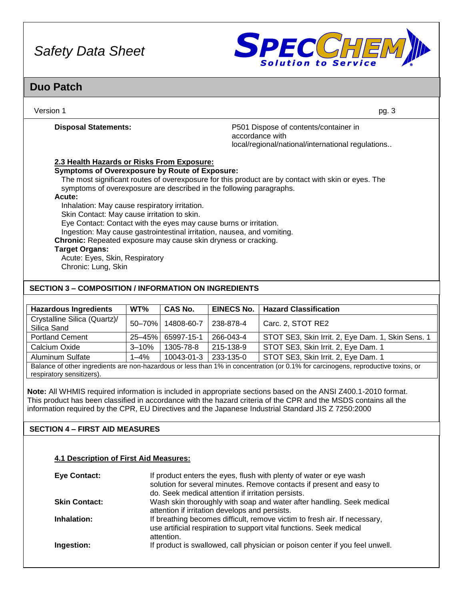

### **Duo Patch**

| Version 1                                                                                                                                                                                                                                                                                                                                                                                                                                                                                                                                                                                                                                                                                             | pg. 3                                                                                                         |
|-------------------------------------------------------------------------------------------------------------------------------------------------------------------------------------------------------------------------------------------------------------------------------------------------------------------------------------------------------------------------------------------------------------------------------------------------------------------------------------------------------------------------------------------------------------------------------------------------------------------------------------------------------------------------------------------------------|---------------------------------------------------------------------------------------------------------------|
| <b>Disposal Statements:</b>                                                                                                                                                                                                                                                                                                                                                                                                                                                                                                                                                                                                                                                                           | P501 Dispose of contents/container in<br>accordance with<br>local/regional/national/international regulations |
| 2.3 Health Hazards or Risks From Exposure:<br><b>Symptoms of Overexposure by Route of Exposure:</b><br>The most significant routes of overexposure for this product are by contact with skin or eyes. The<br>symptoms of overexposure are described in the following paragraphs.<br>Acute:<br>Inhalation: May cause respiratory irritation.<br>Skin Contact: May cause irritation to skin.<br>Eye Contact: Contact with the eyes may cause burns or irritation.<br>Ingestion: May cause gastrointestinal irritation, nausea, and vomiting.<br><b>Chronic:</b> Repeated exposure may cause skin dryness or cracking.<br><b>Target Organs:</b><br>Acute: Eyes, Skin, Respiratory<br>Chronic: Lung, Skin |                                                                                                               |
| <b>SECTION 3 - COMPOSITION / INFORMATION ON INGREDIENTS</b>                                                                                                                                                                                                                                                                                                                                                                                                                                                                                                                                                                                                                                           |                                                                                                               |

| <b>Hazardous Ingredients</b>                                                                                                      | WT%       | <b>CAS No.</b>    | <b>EINECS No.</b> | <b>Hazard Classification</b>                      |
|-----------------------------------------------------------------------------------------------------------------------------------|-----------|-------------------|-------------------|---------------------------------------------------|
| Crystalline Silica (Quartz)/<br>Silica Sand                                                                                       |           | 50-70% 14808-60-7 | 238-878-4         | Carc. 2, STOT RE2                                 |
| <b>Portland Cement</b>                                                                                                            |           | 25-45% 65997-15-1 | 266-043-4         | STOT SE3, Skin Irrit. 2, Eye Dam. 1, Skin Sens. 1 |
| Calcium Oxide                                                                                                                     | $3 - 10%$ | 1305-78-8         | 215-138-9         | STOT SE3, Skin Irrit. 2, Eye Dam. 1               |
| <b>Aluminum Sulfate</b>                                                                                                           | $1 - 4%$  | 10043-01-3        | 233-135-0         | STOT SE3, Skin Irrit. 2, Eye Dam. 1               |
| Balance of other ingredients are non-hazardous or less than 1% in concentration (or 0.1% for carcinogens, reproductive toxins, or |           |                   |                   |                                                   |

Balance of other ingredients are non-hazardous or less than 1% in concentration (or 0.1% for carcinogens, reproductive toxins, or respiratory sensitizers).

**Note:** All WHMIS required information is included in appropriate sections based on the ANSI Z400.1-2010 format. This product has been classified in accordance with the hazard criteria of the CPR and the MSDS contains all the information required by the CPR, EU Directives and the Japanese Industrial Standard JIS Z 7250:2000

#### **SECTION 4 – FIRST AID MEASURES**

#### **4.1 Description of First Aid Measures:**

| <b>Eye Contact:</b>  | If product enters the eyes, flush with plenty of water or eye wash<br>solution for several minutes. Remove contacts if present and easy to<br>do. Seek medical attention if irritation persists. |
|----------------------|--------------------------------------------------------------------------------------------------------------------------------------------------------------------------------------------------|
| <b>Skin Contact:</b> | Wash skin thoroughly with soap and water after handling. Seek medical<br>attention if irritation develops and persists.                                                                          |
| Inhalation:          | If breathing becomes difficult, remove victim to fresh air. If necessary,<br>use artificial respiration to support vital functions. Seek medical<br>attention.                                   |
| Ingestion:           | If product is swallowed, call physician or poison center if you feel unwell.                                                                                                                     |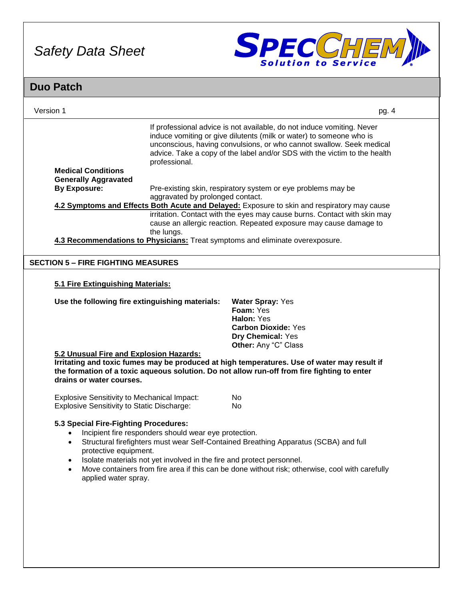

| <b>Duo Patch</b>                                                                                                                                            |                                                       |                                                                                                                               |                                                                                                                                                                                                                                                                                                    |       |
|-------------------------------------------------------------------------------------------------------------------------------------------------------------|-------------------------------------------------------|-------------------------------------------------------------------------------------------------------------------------------|----------------------------------------------------------------------------------------------------------------------------------------------------------------------------------------------------------------------------------------------------------------------------------------------------|-------|
| Version 1                                                                                                                                                   |                                                       |                                                                                                                               |                                                                                                                                                                                                                                                                                                    | pg. 4 |
|                                                                                                                                                             | professional.                                         |                                                                                                                               | If professional advice is not available, do not induce vomiting. Never<br>induce vomiting or give dilutents (milk or water) to someone who is<br>unconscious, having convulsions, or who cannot swallow. Seek medical<br>advice. Take a copy of the label and/or SDS with the victim to the health |       |
| <b>Medical Conditions</b><br><b>Generally Aggravated</b>                                                                                                    |                                                       |                                                                                                                               |                                                                                                                                                                                                                                                                                                    |       |
| <b>By Exposure:</b>                                                                                                                                         | aggravated by prolonged contact.                      |                                                                                                                               | Pre-existing skin, respiratory system or eye problems may be<br>4.2 Symptoms and Effects Both Acute and Delayed: Exposure to skin and respiratory may cause                                                                                                                                        |       |
|                                                                                                                                                             | the lungs.                                            |                                                                                                                               | irritation. Contact with the eyes may cause burns. Contact with skin may<br>cause an allergic reaction. Repeated exposure may cause damage to                                                                                                                                                      |       |
| 4.3 Recommendations to Physicians: Treat symptoms and eliminate overexposure.                                                                               |                                                       |                                                                                                                               |                                                                                                                                                                                                                                                                                                    |       |
| <b>SECTION 5 - FIRE FIGHTING MEASURES</b>                                                                                                                   |                                                       |                                                                                                                               |                                                                                                                                                                                                                                                                                                    |       |
| 5.1 Fire Extinguishing Materials:<br>Use the following fire extinguishing materials:<br>5.2 Unusual Fire and Explosion Hazards:<br>drains or water courses. |                                                       | <b>Water Spray: Yes</b><br>Foam: Yes<br>Halon: Yes<br><b>Carbon Dioxide: Yes</b><br>Dry Chemical: Yes<br>Other: Any "C" Class | Irritating and toxic fumes may be produced at high temperatures. Use of water may result if<br>the formation of a toxic aqueous solution. Do not allow run-off from fire fighting to enter                                                                                                         |       |
| <b>Explosive Sensitivity to Mechanical Impact:</b><br><b>Explosive Sensitivity to Static Discharge:</b>                                                     |                                                       | No<br>No                                                                                                                      |                                                                                                                                                                                                                                                                                                    |       |
| 5.3 Special Fire-Fighting Procedures:<br>$\bullet$<br>protective equipment.<br>$\bullet$<br>$\bullet$<br>applied water spray.                               | Incipient fire responders should wear eye protection. | Isolate materials not yet involved in the fire and protect personnel.                                                         | Structural firefighters must wear Self-Contained Breathing Apparatus (SCBA) and full<br>Move containers from fire area if this can be done without risk; otherwise, cool with carefully                                                                                                            |       |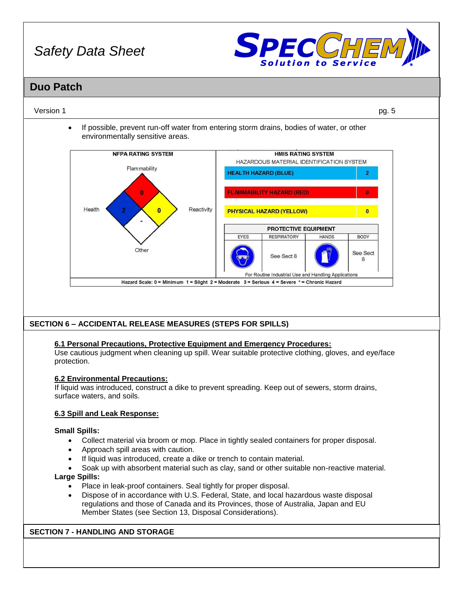

### **Duo Patch**

#### Version 1 pg. 5

• If possible, prevent run-off water from entering storm drains, bodies of water, or other environmentally sensitive areas.



#### **SECTION 6 – ACCIDENTAL RELEASE MEASURES (STEPS FOR SPILLS)**

#### **6.1 Personal Precautions, Protective Equipment and Emergency Procedures:**

Use cautious judgment when cleaning up spill. Wear suitable protective clothing, gloves, and eye/face protection.

#### **6.2 Environmental Precautions:**

If liquid was introduced, construct a dike to prevent spreading. Keep out of sewers, storm drains, surface waters, and soils.

#### **6.3 Spill and Leak Response:**

#### **Small Spills:**

- Collect material via broom or mop. Place in tightly sealed containers for proper disposal.
- Approach spill areas with caution.
- If liquid was introduced, create a dike or trench to contain material.
- Soak up with absorbent material such as clay, sand or other suitable non-reactive material.

#### **Large Spills:**

- Place in leak-proof containers. Seal tightly for proper disposal.
- Dispose of in accordance with U.S. Federal, State, and local hazardous waste disposal regulations and those of Canada and its Provinces, those of Australia, Japan and EU Member States (see Section 13, Disposal Considerations).

#### **SECTION 7 - HANDLING AND STORAGE**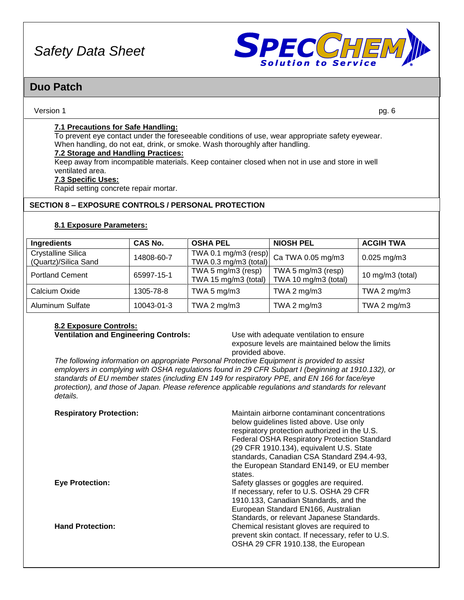

### **Duo Patch**

#### Version 1 pg. 6

#### **7.1 Precautions for Safe Handling:**

To prevent eye contact under the foreseeable conditions of use, wear appropriate safety eyewear. When handling, do not eat, drink, or smoke. Wash thoroughly after handling.

#### **7.2 Storage and Handling Practices:**

Keep away from incompatible materials. Keep container closed when not in use and store in well ventilated area.

#### **7.3 Specific Uses:**

Rapid setting concrete repair mortar.

#### **SECTION 8 – EXPOSURE CONTROLS / PERSONAL PROTECTION**

#### **8.1 Exposure Parameters:**

| <b>Ingredients</b>                                | CAS No.    | <b>OSHA PEL</b>                               | <b>NIOSH PEL</b>                           | <b>ACGIH TWA</b>    |
|---------------------------------------------------|------------|-----------------------------------------------|--------------------------------------------|---------------------|
| <b>Crystalline Silica</b><br>(Quartz)/Silica Sand | 14808-60-7 | TWA 0.1 mg/m3 (resp)<br>TWA 0.3 mg/m3 (total) | Ca TWA 0.05 mg/m3                          | $0.025$ mg/m3       |
| <b>Portland Cement</b>                            | 65997-15-1 | TWA 5 mg/m3 (resp)<br>TWA 15 mg/m3 (total)    | TWA 5 mg/m3 (resp)<br>TWA 10 mg/m3 (total) | 10 mg/m $3$ (total) |
| Calcium Oxide                                     | 1305-78-8  | TWA 5 $mg/m3$                                 | TWA 2 mg/m3                                | TWA 2 $mg/m3$       |
| <b>Aluminum Sulfate</b>                           | 10043-01-3 | TWA 2 $mg/m3$                                 | TWA 2 $mg/m3$                              | TWA 2 $mg/m3$       |

## **8.2 Exposure Controls:**

**Ventilation and Engineering Controls:** Use with adequate ventilation to ensure exposure levels are maintained below the limits provided above.

*The following information on appropriate Personal Protective Equipment is provided to assist employers in complying with OSHA regulations found in 29 CFR Subpart I (beginning at 1910.132), or standards of EU member states (including EN 149 for respiratory PPE, and EN 166 for face/eye protection), and those of Japan. Please reference applicable regulations and standards for relevant details.*

| <b>Respiratory Protection:</b> | Maintain airborne contaminant concentrations<br>below guidelines listed above. Use only<br>respiratory protection authorized in the U.S.<br><b>Federal OSHA Respiratory Protection Standard</b><br>(29 CFR 1910.134), equivalent U.S. State<br>standards, Canadian CSA Standard Z94.4-93,<br>the European Standard EN149, or EU member<br>states. |
|--------------------------------|---------------------------------------------------------------------------------------------------------------------------------------------------------------------------------------------------------------------------------------------------------------------------------------------------------------------------------------------------|
| <b>Eye Protection:</b>         | Safety glasses or goggles are required.<br>If necessary, refer to U.S. OSHA 29 CFR<br>1910.133, Canadian Standards, and the<br>European Standard EN166, Australian<br>Standards, or relevant Japanese Standards.                                                                                                                                  |
| <b>Hand Protection:</b>        | Chemical resistant gloves are required to<br>prevent skin contact. If necessary, refer to U.S.<br>OSHA 29 CFR 1910.138, the European                                                                                                                                                                                                              |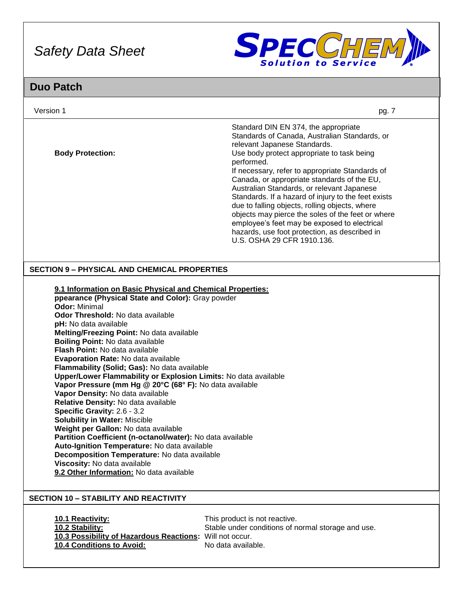

| Version 1                                                                                                                                                                                                                                                                                                                                                                                                                                                                                                                                                                                                                                                                                                                                                                                                                                                                                                                                                                                       | pg. 7                                                                                                                                                                                                                                                                                                                                                                                                                                                                                                                                                                                                                          |
|-------------------------------------------------------------------------------------------------------------------------------------------------------------------------------------------------------------------------------------------------------------------------------------------------------------------------------------------------------------------------------------------------------------------------------------------------------------------------------------------------------------------------------------------------------------------------------------------------------------------------------------------------------------------------------------------------------------------------------------------------------------------------------------------------------------------------------------------------------------------------------------------------------------------------------------------------------------------------------------------------|--------------------------------------------------------------------------------------------------------------------------------------------------------------------------------------------------------------------------------------------------------------------------------------------------------------------------------------------------------------------------------------------------------------------------------------------------------------------------------------------------------------------------------------------------------------------------------------------------------------------------------|
| <b>Body Protection:</b>                                                                                                                                                                                                                                                                                                                                                                                                                                                                                                                                                                                                                                                                                                                                                                                                                                                                                                                                                                         | Standard DIN EN 374, the appropriate<br>Standards of Canada, Australian Standards, or<br>relevant Japanese Standards.<br>Use body protect appropriate to task being<br>performed.<br>If necessary, refer to appropriate Standards of<br>Canada, or appropriate standards of the EU,<br>Australian Standards, or relevant Japanese<br>Standards. If a hazard of injury to the feet exists<br>due to falling objects, rolling objects, where<br>objects may pierce the soles of the feet or where<br>employee's feet may be exposed to electrical<br>hazards, use foot protection, as described in<br>U.S. OSHA 29 CFR 1910.136. |
| <b>SECTION 9 - PHYSICAL AND CHEMICAL PROPERTIES</b>                                                                                                                                                                                                                                                                                                                                                                                                                                                                                                                                                                                                                                                                                                                                                                                                                                                                                                                                             |                                                                                                                                                                                                                                                                                                                                                                                                                                                                                                                                                                                                                                |
| 9.1 Information on Basic Physical and Chemical Properties:<br>ppearance (Physical State and Color): Gray powder<br><b>Odor: Minimal</b><br>Odor Threshold: No data available<br>pH: No data available<br>Melting/Freezing Point: No data available<br><b>Boiling Point: No data available</b><br><b>Flash Point: No data available</b><br>Evaporation Rate: No data available<br>Flammability (Solid; Gas): No data available<br>Upper/Lower Flammability or Explosion Limits: No data available<br>Vapor Pressure (mm Hg @ 20°C (68° F): No data available<br>Vapor Density: No data available<br>Relative Density: No data available<br>Specific Gravity: 2.6 - 3.2<br><b>Solubility in Water: Miscible</b><br>Weight per Gallon: No data available<br>Partition Coefficient (n-octanol/water): No data available<br>Auto-Ignition Temperature: No data available<br>Decomposition Temperature: No data available<br>Viscosity: No data available<br>9.2 Other Information: No data available |                                                                                                                                                                                                                                                                                                                                                                                                                                                                                                                                                                                                                                |
| <b>SECTION 10 - STABILITY AND REACTIVITY</b>                                                                                                                                                                                                                                                                                                                                                                                                                                                                                                                                                                                                                                                                                                                                                                                                                                                                                                                                                    |                                                                                                                                                                                                                                                                                                                                                                                                                                                                                                                                                                                                                                |
| 10.1 Reactivity:<br>10.2 Stability:<br>10.3 Possibility of Hazardous Reactions: Will not occur.<br>10.4 Conditions to Avoid:                                                                                                                                                                                                                                                                                                                                                                                                                                                                                                                                                                                                                                                                                                                                                                                                                                                                    | This product is not reactive.<br>Stable under conditions of normal storage and use.<br>No data available.                                                                                                                                                                                                                                                                                                                                                                                                                                                                                                                      |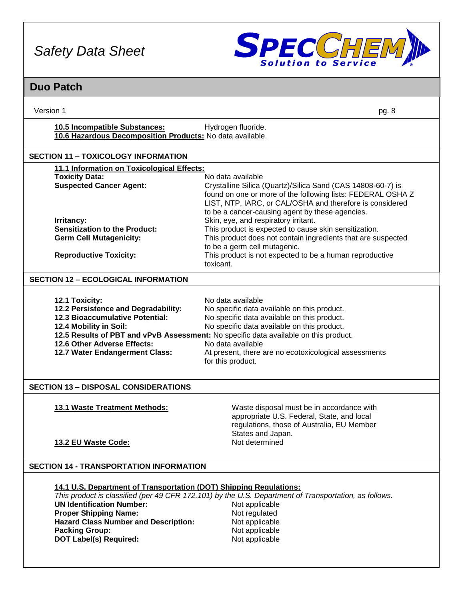

| Version 1                                                                                                        | pg. 8                                                                                                       |  |  |
|------------------------------------------------------------------------------------------------------------------|-------------------------------------------------------------------------------------------------------------|--|--|
| 10.5 Incompatible Substances:<br>Hydrogen fluoride.<br>10.6 Hazardous Decomposition Products: No data available. |                                                                                                             |  |  |
| <b>SECTION 11 - TOXICOLOGY INFORMATION</b>                                                                       |                                                                                                             |  |  |
| 11.1 Information on Toxicological Effects:                                                                       |                                                                                                             |  |  |
| <b>Toxicity Data:</b><br><b>Suspected Cancer Agent:</b>                                                          | No data available<br>Crystalline Silica (Quartz)/Silica Sand (CAS 14808-60-7) is                            |  |  |
|                                                                                                                  | found on one or more of the following lists: FEDERAL OSHA Z                                                 |  |  |
|                                                                                                                  | LIST, NTP, IARC, or CAL/OSHA and therefore is considered<br>to be a cancer-causing agent by these agencies. |  |  |
| Irritancy:                                                                                                       | Skin, eye, and respiratory irritant.                                                                        |  |  |
| <b>Sensitization to the Product:</b>                                                                             | This product is expected to cause skin sensitization.                                                       |  |  |
| <b>Germ Cell Mutagenicity:</b>                                                                                   | This product does not contain ingredients that are suspected<br>to be a germ cell mutagenic.                |  |  |
| <b>Reproductive Toxicity:</b>                                                                                    | This product is not expected to be a human reproductive                                                     |  |  |
|                                                                                                                  | toxicant.                                                                                                   |  |  |
| <b>SECTION 12 - ECOLOGICAL INFORMATION</b>                                                                       |                                                                                                             |  |  |
|                                                                                                                  |                                                                                                             |  |  |
| 12.1 Toxicity:<br>12.2 Persistence and Degradability:                                                            | No data available<br>No specific data available on this product.                                            |  |  |
| 12.3 Bioaccumulative Potential:                                                                                  | No specific data available on this product.                                                                 |  |  |
| 12.4 Mobility in Soil:                                                                                           | No specific data available on this product.                                                                 |  |  |
| 12.5 Results of PBT and vPvB Assessment: No specific data available on this product.                             |                                                                                                             |  |  |
| 12.6 Other Adverse Effects:<br>No data available                                                                 |                                                                                                             |  |  |
| 12.7 Water Endangerment Class:                                                                                   | At present, there are no ecotoxicological assessments                                                       |  |  |
|                                                                                                                  | for this product.                                                                                           |  |  |
|                                                                                                                  |                                                                                                             |  |  |
| <b>SECTION 13 - DISPOSAL CONSIDERATIONS</b>                                                                      |                                                                                                             |  |  |
| <b>13.1 Waste Treatment Methods:</b>                                                                             | Waste disposal must be in accordance with                                                                   |  |  |
|                                                                                                                  | appropriate U.S. Federal, State, and local                                                                  |  |  |
|                                                                                                                  | regulations, those of Australia, EU Member                                                                  |  |  |
|                                                                                                                  | States and Japan.                                                                                           |  |  |
| 13.2 EU Waste Code:                                                                                              | Not determined                                                                                              |  |  |
| <b>SECTION 14 - TRANSPORTATION INFORMATION</b>                                                                   |                                                                                                             |  |  |
|                                                                                                                  |                                                                                                             |  |  |
|                                                                                                                  | 14.1 U.S. Department of Transportation (DOT) Shipping Regulations:                                          |  |  |
|                                                                                                                  | This product is classified (per 49 CFR 172.101) by the U.S. Department of Transportation, as follows.       |  |  |
| <b>UN Identification Number:</b>                                                                                 | Not applicable                                                                                              |  |  |
| <b>Proper Shipping Name:</b><br><b>Hazard Class Number and Description:</b>                                      | Not regulated<br>Not applicable                                                                             |  |  |
| <b>Packing Group:</b>                                                                                            | Not applicable                                                                                              |  |  |
| <b>DOT Label(s) Required:</b>                                                                                    | Not applicable                                                                                              |  |  |
|                                                                                                                  |                                                                                                             |  |  |
|                                                                                                                  |                                                                                                             |  |  |
|                                                                                                                  |                                                                                                             |  |  |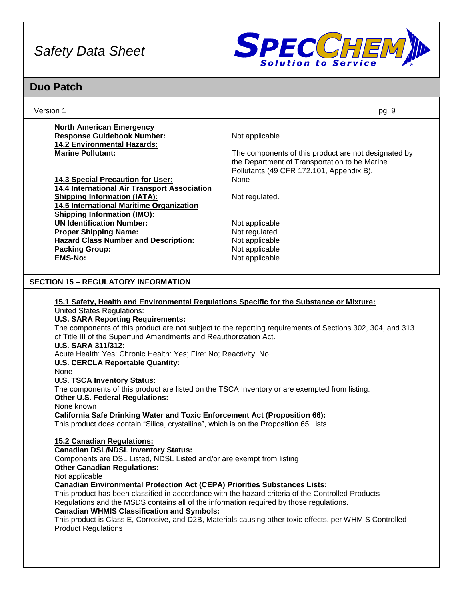

| Version 1                                                                                                                                                                                                                                                                                                                                                                                                                                                                                                                                                                                                                                                                                                                                                                                                                                                                                                                                                                                                                                                                                                                                                                                                                                                                                                                                                             | pg. 9                                                                                                                                                                                                                  |
|-----------------------------------------------------------------------------------------------------------------------------------------------------------------------------------------------------------------------------------------------------------------------------------------------------------------------------------------------------------------------------------------------------------------------------------------------------------------------------------------------------------------------------------------------------------------------------------------------------------------------------------------------------------------------------------------------------------------------------------------------------------------------------------------------------------------------------------------------------------------------------------------------------------------------------------------------------------------------------------------------------------------------------------------------------------------------------------------------------------------------------------------------------------------------------------------------------------------------------------------------------------------------------------------------------------------------------------------------------------------------|------------------------------------------------------------------------------------------------------------------------------------------------------------------------------------------------------------------------|
| <b>North American Emergency</b>                                                                                                                                                                                                                                                                                                                                                                                                                                                                                                                                                                                                                                                                                                                                                                                                                                                                                                                                                                                                                                                                                                                                                                                                                                                                                                                                       |                                                                                                                                                                                                                        |
| <b>Response Guidebook Number:</b>                                                                                                                                                                                                                                                                                                                                                                                                                                                                                                                                                                                                                                                                                                                                                                                                                                                                                                                                                                                                                                                                                                                                                                                                                                                                                                                                     | Not applicable                                                                                                                                                                                                         |
| <b>14.2 Environmental Hazards:</b>                                                                                                                                                                                                                                                                                                                                                                                                                                                                                                                                                                                                                                                                                                                                                                                                                                                                                                                                                                                                                                                                                                                                                                                                                                                                                                                                    |                                                                                                                                                                                                                        |
| <b>Marine Pollutant:</b>                                                                                                                                                                                                                                                                                                                                                                                                                                                                                                                                                                                                                                                                                                                                                                                                                                                                                                                                                                                                                                                                                                                                                                                                                                                                                                                                              | The components of this product are not designated by                                                                                                                                                                   |
|                                                                                                                                                                                                                                                                                                                                                                                                                                                                                                                                                                                                                                                                                                                                                                                                                                                                                                                                                                                                                                                                                                                                                                                                                                                                                                                                                                       | the Department of Transportation to be Marine<br>Pollutants (49 CFR 172.101, Appendix B).                                                                                                                              |
| 14.3 Special Precaution for User:                                                                                                                                                                                                                                                                                                                                                                                                                                                                                                                                                                                                                                                                                                                                                                                                                                                                                                                                                                                                                                                                                                                                                                                                                                                                                                                                     | None                                                                                                                                                                                                                   |
| 14.4 International Air Transport Association                                                                                                                                                                                                                                                                                                                                                                                                                                                                                                                                                                                                                                                                                                                                                                                                                                                                                                                                                                                                                                                                                                                                                                                                                                                                                                                          |                                                                                                                                                                                                                        |
| <b>Shipping Information (IATA):</b>                                                                                                                                                                                                                                                                                                                                                                                                                                                                                                                                                                                                                                                                                                                                                                                                                                                                                                                                                                                                                                                                                                                                                                                                                                                                                                                                   | Not regulated.                                                                                                                                                                                                         |
| 14.5 International Maritime Organization                                                                                                                                                                                                                                                                                                                                                                                                                                                                                                                                                                                                                                                                                                                                                                                                                                                                                                                                                                                                                                                                                                                                                                                                                                                                                                                              |                                                                                                                                                                                                                        |
| <b>Shipping Information (IMO):</b>                                                                                                                                                                                                                                                                                                                                                                                                                                                                                                                                                                                                                                                                                                                                                                                                                                                                                                                                                                                                                                                                                                                                                                                                                                                                                                                                    |                                                                                                                                                                                                                        |
| <b>UN Identification Number:</b>                                                                                                                                                                                                                                                                                                                                                                                                                                                                                                                                                                                                                                                                                                                                                                                                                                                                                                                                                                                                                                                                                                                                                                                                                                                                                                                                      | Not applicable                                                                                                                                                                                                         |
| <b>Proper Shipping Name:</b>                                                                                                                                                                                                                                                                                                                                                                                                                                                                                                                                                                                                                                                                                                                                                                                                                                                                                                                                                                                                                                                                                                                                                                                                                                                                                                                                          | Not regulated                                                                                                                                                                                                          |
| <b>Hazard Class Number and Description:</b>                                                                                                                                                                                                                                                                                                                                                                                                                                                                                                                                                                                                                                                                                                                                                                                                                                                                                                                                                                                                                                                                                                                                                                                                                                                                                                                           | Not applicable                                                                                                                                                                                                         |
| <b>Packing Group:</b>                                                                                                                                                                                                                                                                                                                                                                                                                                                                                                                                                                                                                                                                                                                                                                                                                                                                                                                                                                                                                                                                                                                                                                                                                                                                                                                                                 | Not applicable                                                                                                                                                                                                         |
| <b>EMS-No:</b>                                                                                                                                                                                                                                                                                                                                                                                                                                                                                                                                                                                                                                                                                                                                                                                                                                                                                                                                                                                                                                                                                                                                                                                                                                                                                                                                                        | Not applicable                                                                                                                                                                                                         |
|                                                                                                                                                                                                                                                                                                                                                                                                                                                                                                                                                                                                                                                                                                                                                                                                                                                                                                                                                                                                                                                                                                                                                                                                                                                                                                                                                                       |                                                                                                                                                                                                                        |
| <b>SECTION 15 - REGULATORY INFORMATION</b>                                                                                                                                                                                                                                                                                                                                                                                                                                                                                                                                                                                                                                                                                                                                                                                                                                                                                                                                                                                                                                                                                                                                                                                                                                                                                                                            |                                                                                                                                                                                                                        |
| 15.1 Safety, Health and Environmental Regulations Specific for the Substance or Mixture:<br><b>United States Regulations:</b><br><b>U.S. SARA Reporting Requirements:</b><br>of Title III of the Superfund Amendments and Reauthorization Act.<br><b>U.S. SARA 311/312:</b><br>Acute Health: Yes; Chronic Health: Yes; Fire: No; Reactivity; No<br><b>U.S. CERCLA Reportable Quantity:</b><br>None<br><b>U.S. TSCA Inventory Status:</b><br>The components of this product are listed on the TSCA Inventory or are exempted from listing.<br><b>Other U.S. Federal Regulations:</b><br>None known<br><b>California Safe Drinking Water and Toxic Enforcement Act (Proposition 66):</b><br>This product does contain "Silica, crystalline", which is on the Proposition 65 Lists.<br>15.2 Canadian Regulations:<br><b>Canadian DSL/NDSL Inventory Status:</b><br>Components are DSL Listed, NDSL Listed and/or are exempt from listing<br><b>Other Canadian Regulations:</b><br>Not applicable<br><b>Canadian Environmental Protection Act (CEPA) Priorities Substances Lists:</b><br>This product has been classified in accordance with the hazard criteria of the Controlled Products<br>Regulations and the MSDS contains all of the information required by those regulations.<br><b>Canadian WHMIS Classification and Symbols:</b><br><b>Product Regulations</b> | The components of this product are not subject to the reporting requirements of Sections 302, 304, and 313<br>This product is Class E, Corrosive, and D2B, Materials causing other toxic effects, per WHMIS Controlled |
|                                                                                                                                                                                                                                                                                                                                                                                                                                                                                                                                                                                                                                                                                                                                                                                                                                                                                                                                                                                                                                                                                                                                                                                                                                                                                                                                                                       |                                                                                                                                                                                                                        |